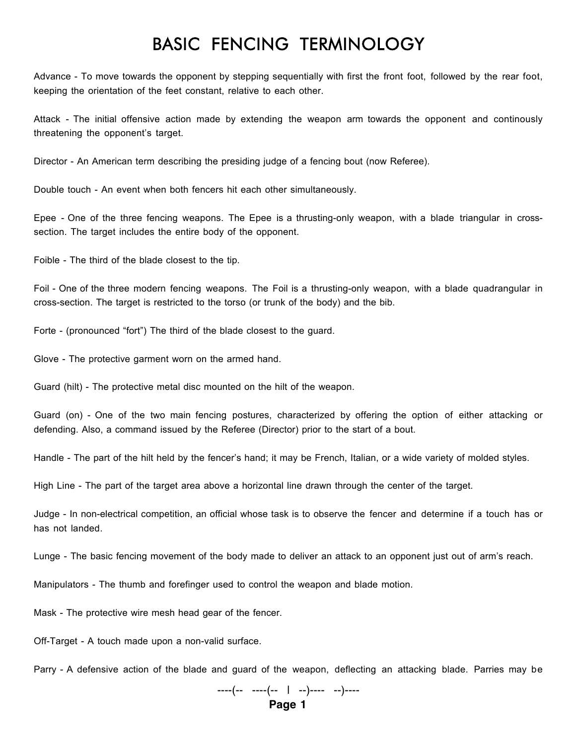## BASIC FENCING TERMINOLOGY

Advance - To move towards the opponent by stepping sequentially with first the front foot, followed by the rear foot, keeping the orientation of the feet constant, relative to each other.

Attack - The initial offensive action made by extending the weapon arm towards the opponent and continously threatening the opponent's target.

Director - An American term describing the presiding judge of a fencing bout (now Referee).

Double touch - An event when both fencers hit each other simultaneously.

Epee - One of the three fencing weapons. The Epee is a thrusting-only weapon, with a blade triangular in crosssection. The target includes the entire body of the opponent.

Foible - The third of the blade closest to the tip.

Foil - One of the three modern fencing weapons. The Foil is a thrusting-only weapon, with a blade quadrangular in cross-section. The target is restricted to the torso (or trunk of the body) and the bib.

Forte - (pronounced "fort") The third of the blade closest to the guard.

Glove - The protective garment worn on the armed hand.

Guard (hilt) - The protective metal disc mounted on the hilt of the weapon.

Guard (on) - One of the two main fencing postures, characterized by offering the option of either attacking or defending. Also, a command issued by the Referee (Director) prior to the start of a bout.

Handle - The part of the hilt held by the fencer's hand; it may be French, Italian, or a wide variety of molded styles.

High Line - The part of the target area above a horizontal line drawn through the center of the target.

Judge - In non-electrical competition, an official whose task is to observe the fencer and determine if a touch has or has not landed.

Lunge - The basic fencing movement of the body made to deliver an attack to an opponent just out of arm's reach.

Manipulators - The thumb and forefinger used to control the weapon and blade motion.

Mask - The protective wire mesh head gear of the fencer.

Off-Target - A touch made upon a non-valid surface.

Parry - A defensive action of the blade and guard of the weapon, deflecting an attacking blade. Parries may be

----(-- ----(-- | --)---- --)---- **Page 1**